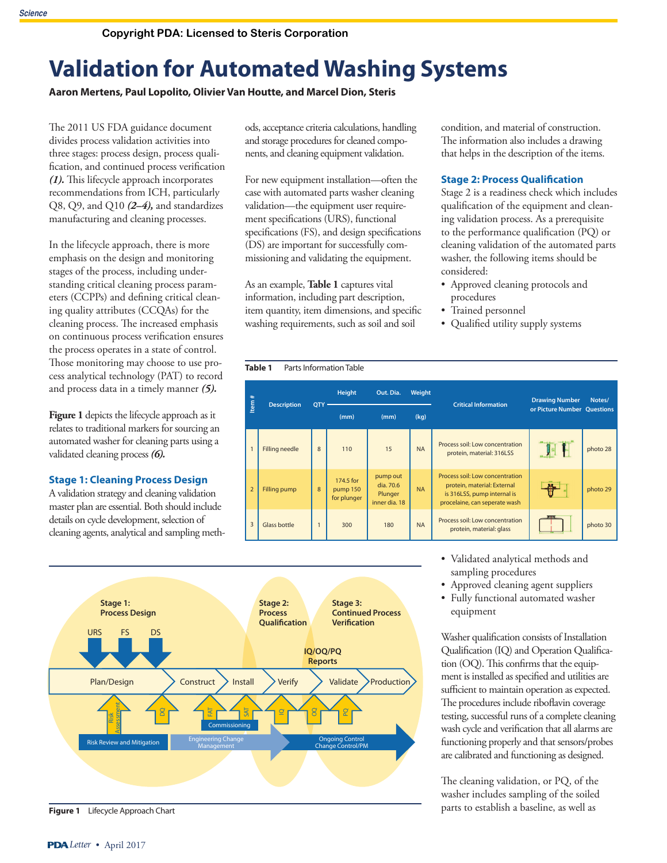# **Validation for Automated Washing Systems**

**Aaron Mertens, Paul Lopolito, Olivier Van Houtte, and Marcel Dion, Steris**

The 2011 US FDA guidance document divides process validation activities into three stages: process design, process qualification, and continued process verification *(1).* This lifecycle approach incorporates recommendations from ICH, particularly Q8, Q9, and Q10 *(2–4),* and standardizes manufacturing and cleaning processes.

In the lifecycle approach, there is more emphasis on the design and monitoring stages of the process, including understanding critical cleaning process parameters (CCPPs) and defining critical cleaning quality attributes (CCQAs) for the cleaning process. The increased emphasis on continuous process verification ensures the process operates in a state of control. Those monitoring may choose to use process analytical technology (PAT) to record and process data in a timely manner *(5).*

Figure 1 depicts the lifecycle approach as it relates to traditional markers for sourcing an automated washer for cleaning parts using a validated cleaning process *(6).*

#### **Stage 1: Cleaning Process Design**

A validation strategy and cleaning validation master plan are essential. Both should include details on cycle development, selection of cleaning agents, analytical and sampling methods, acceptance criteria calculations, handling and storage procedures for cleaned components, and cleaning equipment validation.

For new equipment installation—often the case with automated parts washer cleaning validation—the equipment user requirement specifications (URS), functional specifications (FS), and design specifications (DS) are important for successfully commissioning and validating the equipment.

As an example, **Table 1** captures vital information, including part description, item quantity, item dimensions, and specific washing requirements, such as soil and soil

condition, and material of construction. The information also includes a drawing that helps in the description of the items.

#### **Stage 2: Process Qualification**

Stage 2 is a readiness check which includes qualification of the equipment and cleaning validation process. As a prerequisite to the performance qualification (PQ) or cleaning validation of the automated parts washer, the following items should be considered:

- Approved cleaning protocols and procedures
- Trained personnel
- Qualified utility supply systems





**Figure 1** Lifecycle Approach Chart

- Validated analytical methods and sampling procedures
- Approved cleaning agent suppliers
- Fully functional automated washer equipment

Washer qualification consists of Installation Qualification (IQ) and Operation Qualification (OQ). This confirms that the equipment is installed as specified and utilities are sufficient to maintain operation as expected. The procedures include riboflavin coverage testing, successful runs of a complete cleaning wash cycle and verification that all alarms are functioning properly and that sensors/probes are calibrated and functioning as designed.

The cleaning validation, or PQ, of the washer includes sampling of the soiled parts to establish a baseline, as well as